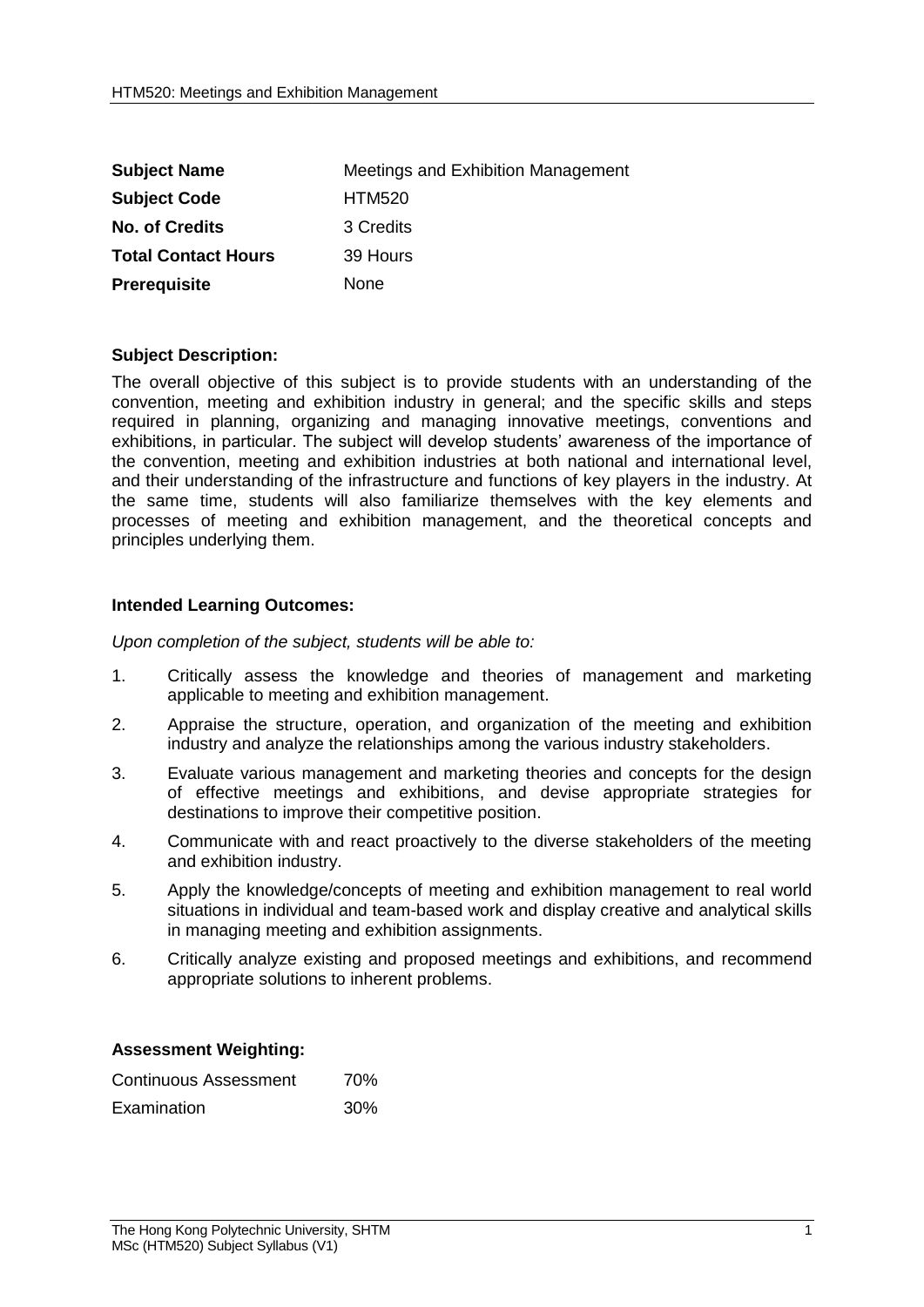| <b>Subject Name</b>        | Meetings and Exhibition Management |
|----------------------------|------------------------------------|
| <b>Subject Code</b>        | <b>HTM520</b>                      |
| <b>No. of Credits</b>      | 3 Credits                          |
| <b>Total Contact Hours</b> | 39 Hours                           |
| <b>Prerequisite</b>        | None                               |

## **Subject Description:**

The overall objective of this subject is to provide students with an understanding of the convention, meeting and exhibition industry in general; and the specific skills and steps required in planning, organizing and managing innovative meetings, conventions and exhibitions, in particular. The subject will develop students' awareness of the importance of the convention, meeting and exhibition industries at both national and international level, and their understanding of the infrastructure and functions of key players in the industry. At the same time, students will also familiarize themselves with the key elements and processes of meeting and exhibition management, and the theoretical concepts and principles underlying them.

## **Intended Learning Outcomes:**

*Upon completion of the subject, students will be able to:*

- 1. Critically assess the knowledge and theories of management and marketing applicable to meeting and exhibition management.
- 2. Appraise the structure, operation, and organization of the meeting and exhibition industry and analyze the relationships among the various industry stakeholders.
- 3. Evaluate various management and marketing theories and concepts for the design of effective meetings and exhibitions, and devise appropriate strategies for destinations to improve their competitive position.
- 4. Communicate with and react proactively to the diverse stakeholders of the meeting and exhibition industry.
- 5. Apply the knowledge/concepts of meeting and exhibition management to real world situations in individual and team-based work and display creative and analytical skills in managing meeting and exhibition assignments.
- 6. Critically analyze existing and proposed meetings and exhibitions, and recommend appropriate solutions to inherent problems.

## **Assessment Weighting:**

| Continuous Assessment | 70%        |
|-----------------------|------------|
| Examination           | <b>30%</b> |